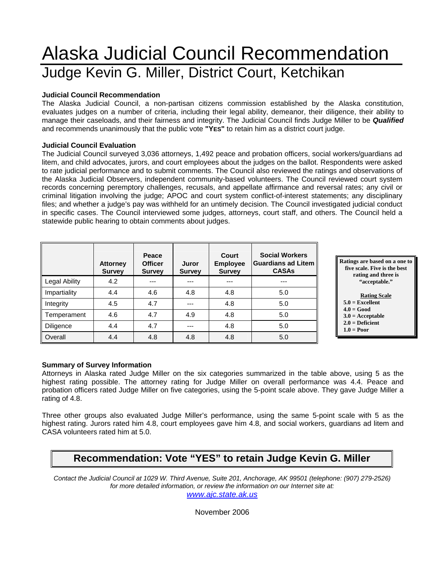# Alaska Judicial Council Recommendation Judge Kevin G. Miller, District Court, Ketchikan

#### **Judicial Council Recommendation**

The Alaska Judicial Council, a non-partisan citizens commission established by the Alaska constitution, evaluates judges on a number of criteria, including their legal ability, demeanor, their diligence, their ability to manage their caseloads, and their fairness and integrity. The Judicial Council finds Judge Miller to be *Qualified* and recommends unanimously that the public vote **"YES"** to retain him as a district court judge.

#### **Judicial Council Evaluation**

The Judicial Council surveyed 3,036 attorneys, 1,492 peace and probation officers, social workers/guardians ad litem, and child advocates, jurors, and court employees about the judges on the ballot. Respondents were asked to rate judicial performance and to submit comments. The Council also reviewed the ratings and observations of the Alaska Judicial Observers, independent community-based volunteers. The Council reviewed court system records concerning peremptory challenges, recusals, and appellate affirmance and reversal rates; any civil or criminal litigation involving the judge; APOC and court system conflict-of-interest statements; any disciplinary files; and whether a judge's pay was withheld for an untimely decision. The Council investigated judicial conduct in specific cases. The Council interviewed some judges, attorneys, court staff, and others. The Council held a statewide public hearing to obtain comments about judges.

|               | <b>Attorney</b><br><b>Survey</b> | Peace<br><b>Officer</b><br><b>Survey</b> | <b>Court</b><br><b>Employee</b><br>Juror<br><b>Survey</b><br><b>Survey</b> |     | <b>Social Workers</b><br><b>Guardians ad Litem</b><br><b>CASAs</b> |
|---------------|----------------------------------|------------------------------------------|----------------------------------------------------------------------------|-----|--------------------------------------------------------------------|
| Legal Ability | 4.2                              | ---                                      |                                                                            | --- | ---                                                                |
| Impartiality  | 4.4                              | 4.6                                      | 4.8                                                                        | 4.8 | 5.0                                                                |
| Integrity     | 4.5                              | 4.7                                      | ---                                                                        | 4.8 | 5.0                                                                |
| Temperament   | 4.6                              | 4.7                                      | 4.9                                                                        | 4.8 | 5.0                                                                |
| Diligence     | 4.4                              | 4.7                                      | ---                                                                        | 4.8 | 5.0                                                                |
| Overall       | 4.4                              | 4.8                                      | 4.8                                                                        | 4.8 | 5.0                                                                |

**Ratings are based on a one to five scale. Five is the best rating and three is "acceptable."** 

#### **Rating Scale**

- **5.0 = Excellent**
- **4.0 = Good 3.0 = Acceptable**
- **2.0 = Deficient**
- $1.0 = Poor$

#### **Summary of Survey Information**

Attorneys in Alaska rated Judge Miller on the six categories summarized in the table above, using 5 as the highest rating possible. The attorney rating for Judge Miller on overall performance was 4.4. Peace and probation officers rated Judge Miller on five categories, using the 5-point scale above. They gave Judge Miller a rating of 4.8.

Three other groups also evaluated Judge Miller's performance, using the same 5-point scale with 5 as the highest rating. Jurors rated him 4.8, court employees gave him 4.8, and social workers, guardians ad litem and CASA volunteers rated him at 5.0.

# **Recommendation: Vote "YES" to retain Judge Kevin G. Miller**

*Contact the Judicial Council at 1029 W. Third Avenue, Suite 201, Anchorage, AK 99501 (telephone: (907) 279-2526) for more detailed information, or review the information on our Internet site at:* 

*www.ajc.state.ak.us*

November 2006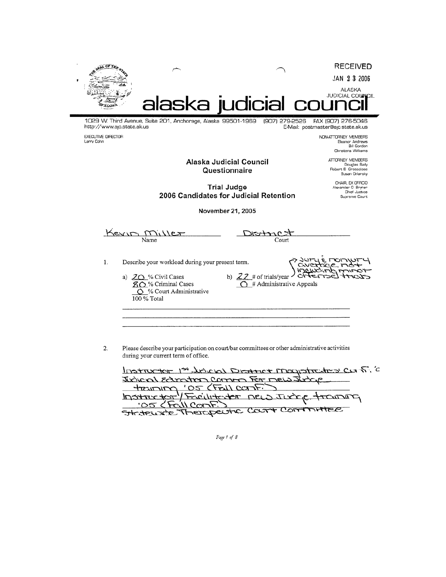

**Trial Judge** 2006 Candidates for Judicial Retention

Alexander O Bryner<br>Chief Justice

Supreme Court

November 21, 2005

Kevin Miller District Name Court حمدان  $\mathbf{1}$ . Describe your workload during your present term. c CAIR í٣ УÆ b)  $22$  # of trials/year a) 20% Civil Cases ∾ **80%** Criminal Cases  $\overline{O}$  # Administrative Appeals 6 % Court Administrative  $100\%$  Total

Please describe your participation on court/bar committees or other administrative activities 2. during your current term of office.

| Instructor 1st bology District Magistrates Canf. 'C |
|-----------------------------------------------------|
| Judicial Education Common For mew Judge             |
| training '05 (Fall COTIF)                           |
| hostroctor / Facilitator new Judge travelly         |
|                                                     |
| Statework Therapeutic Court Committee               |

Page 1 of 8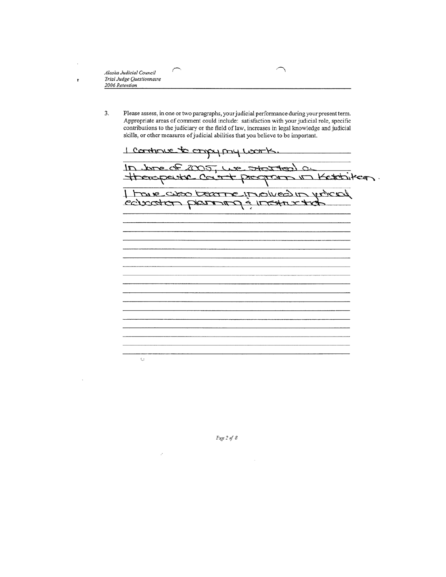Alaska Judicial Council Trial Judge Questionnaire 2006 Retention

t

3. Please assess, in one or two paragraphs, your judicial performance during your present term. Appropriate areas of comment could include: satisfaction with your judicial role, specific contributions to the judiciary or the field of law, increases in legal knowledge and judicial skills, or other measures of judicial abilities that you believe to be important.

1 continue to confort mod room/ In threw 2005, we started a therepeake count prespons in Ketchiker. touse caso become involved in voted concordo porma a restanto  $\mathbb{C}$ 

Page  $2$  of  $8$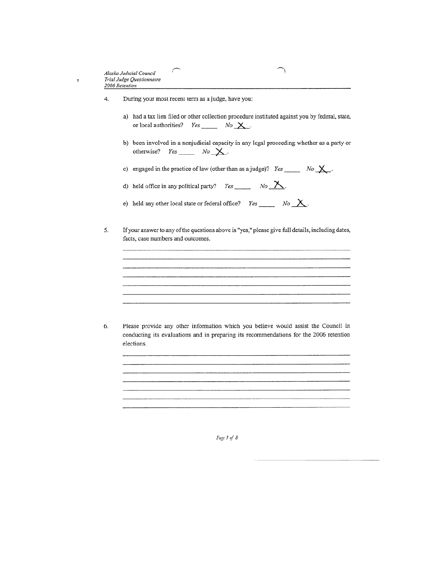$\ddot{\phantom{a}}$ 

#### 4. During your most recent term as a judge, have you:

7

- a) had a tax lien filed or other collection procedure instituted against you by federal, state, or local authorities?  $Yes \_\_\_ No \_\times$ .
- b) been involved in a nonjudicial capacity in any legal proceeding whether as a party or otherwise?  $Yes \_\_\_\_ No \_\times$ .
- c) engaged in the practice of law (other than as a judge)? Yes \_\_\_\_\_\_ No  $X$ .
- d) held office in any political party? Yes  $\frac{N_o}{N_o}$ .
- e) held any other local state or federal office? Yes \_\_\_\_\_\_\_ No  $X$ .
- If your answer to any of the questions above is "yes," please give full details, including dates, 5. facts, case numbers and outcomes.

Please provide any other information which you believe would assist the Council in 6. conducting its evaluations and in preparing its recommendations for the 2006 retention elections.

Page 3 of 8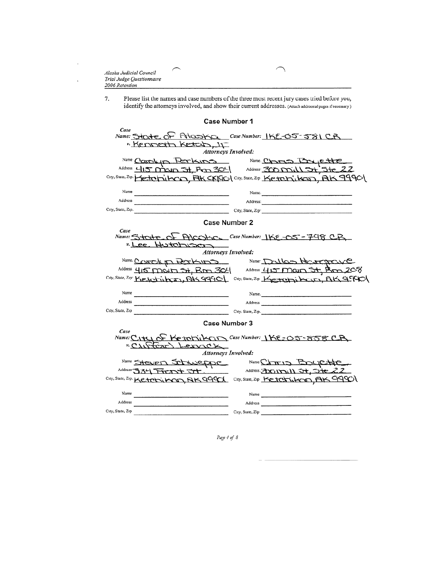| Alaska Judicial Council   |  |
|---------------------------|--|
| Trial Judge Questionnaire |  |
| 2006 Retention            |  |
|                           |  |

 $\cdot$ 

 $\ddot{\phantom{a}}$ 

Please list the names and case numbers of the three most recent jury cases tried before you, identify the attorneys involved, and show their current addresses. (Attach adduonal pages if necessary) 7.

| <b>Case Number 1</b>                                                                                                                                                                                                                                                                                                                                                                                                  |
|-----------------------------------------------------------------------------------------------------------------------------------------------------------------------------------------------------------------------------------------------------------------------------------------------------------------------------------------------------------------------------------------------------------------------|
| Case<br>Name: Stocte OF Folcostco Case Number: IKE-05-581 CB<br>"Kenneth Ketch, IT<br><b>Attorneys Involved:</b>                                                                                                                                                                                                                                                                                                      |
| Name Corokin Perkins Name Chris Briette                                                                                                                                                                                                                                                                                                                                                                               |
| Address 415 mayn 54, Prom 304 Address: 300 mill 54, 5te 22                                                                                                                                                                                                                                                                                                                                                            |
| City, State, Zip. Ketohikon, FIK CKIOC   City, State, Zip Ketohikon, AK 9990                                                                                                                                                                                                                                                                                                                                          |
|                                                                                                                                                                                                                                                                                                                                                                                                                       |
| Name<br>Name.                                                                                                                                                                                                                                                                                                                                                                                                         |
| Address<br>the control of the control of the control of the                                                                                                                                                                                                                                                                                                                                                           |
| City, State, Zip.                                                                                                                                                                                                                                                                                                                                                                                                     |
| <b>Case Number 2</b>                                                                                                                                                                                                                                                                                                                                                                                                  |
| Case                                                                                                                                                                                                                                                                                                                                                                                                                  |
| Name: State of AICOKO Case Number: IKE-05-748 CR<br>Hutchiscon<br>"Lee<br>Attorneys Involved:                                                                                                                                                                                                                                                                                                                         |
| Name COROLIN RETHUND Name DOLLOS HOROLOGY                                                                                                                                                                                                                                                                                                                                                                             |
| Address 415 mours 31, Rm 304 Address 415 main 5t, Bm 208                                                                                                                                                                                                                                                                                                                                                              |
| City, State, Zip: Ketchikan, AK 44401 City, State, Zip Ketchikan, AK 44401                                                                                                                                                                                                                                                                                                                                            |
|                                                                                                                                                                                                                                                                                                                                                                                                                       |
| Name<br>the control of the control of the control of the control of the control of                                                                                                                                                                                                                                                                                                                                    |
| Address<br>the control of the control of the control of the control of                                                                                                                                                                                                                                                                                                                                                |
| City, State, Zip<br>City, State, Zip.                                                                                                                                                                                                                                                                                                                                                                                 |
| Case Number 3                                                                                                                                                                                                                                                                                                                                                                                                         |
| Case                                                                                                                                                                                                                                                                                                                                                                                                                  |
| Name: City OF Ketohikan Case Number: IKE=05-858 CB<br>"CUNTOR" LENTCK                                                                                                                                                                                                                                                                                                                                                 |
| <b>Attorneys Involved:</b>                                                                                                                                                                                                                                                                                                                                                                                            |
| Name Charles Boyclette<br>Name Steven Schweppe                                                                                                                                                                                                                                                                                                                                                                        |
| Address (300 1001) 54, 54e 22<br>Address 334 Front St                                                                                                                                                                                                                                                                                                                                                                 |
| City, State, Zip Ketchikcon, AK 99901<br>City, State, Zip. Ketchikon, RK9990                                                                                                                                                                                                                                                                                                                                          |
| Name<br>Name $\frac{1}{\sqrt{1-\frac{1}{2}}\sqrt{1-\frac{1}{2}}\sqrt{1-\frac{1}{2}}\sqrt{1-\frac{1}{2}}\sqrt{1-\frac{1}{2}}\sqrt{1-\frac{1}{2}}\sqrt{1-\frac{1}{2}}\sqrt{1-\frac{1}{2}}\sqrt{1-\frac{1}{2}}\sqrt{1-\frac{1}{2}}\sqrt{1-\frac{1}{2}}\sqrt{1-\frac{1}{2}}\sqrt{1-\frac{1}{2}}\sqrt{1-\frac{1}{2}}\sqrt{1-\frac{1}{2}}\sqrt{1-\frac{1}{2}}\sqrt{1-\frac{1}{2}}\sqrt{1-\frac{1}{2}}\sqrt{1-\frac{1}{2}}\$ |
| Address<br>Address and the state of the state of the state of the state of the state of the state of the state of the state of the state of the state of the state of the state of the state of the state of the state of the state of th                                                                                                                                                                             |
| City, State, Zip<br>City, State, Zip                                                                                                                                                                                                                                                                                                                                                                                  |
|                                                                                                                                                                                                                                                                                                                                                                                                                       |

Page 4 of  $8$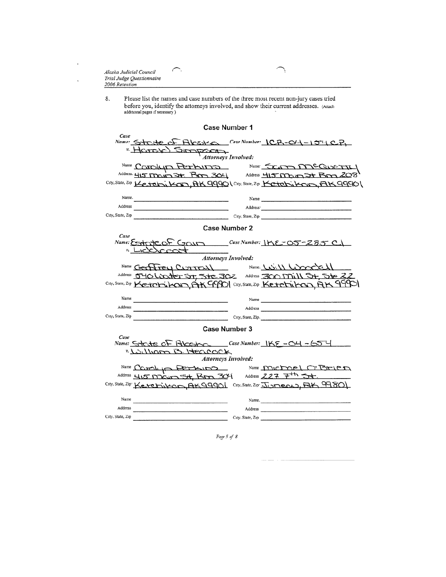| Alaska Judicial Council<br>Trial Judge Questionnaire<br>2006 Retention |  |
|------------------------------------------------------------------------|--|
|                                                                        |  |

 $\ddot{\phantom{a}}$ 

 $\ddot{\phantom{a}}$ 

Please list the names and case numbers of the three most recent non-jury cases tried<br>before you, identify the attorneys involved, and show their current addresses. (Attach<br>additional pages if necessary) 8.

| <b>Case Number 1</b>                                                                                                                                                                |
|-------------------------------------------------------------------------------------------------------------------------------------------------------------------------------------|
| Case<br>Name: State of Alaster Case Number: ICR-04-154CR<br>" Harry Simpan<br><b>Attorneys Involved:</b>                                                                            |
| Name Corolyn Perbuns Name Scom MCQUETTY<br>Address. 415 Main 34. Pm 304 Address 415 Main 3t Bm 208<br>City, State, Zip Ketchi KCIT, AK 9990 (City, State, Zip Ketchi KCir), AK 9990 |
| Name.<br>Name $\frac{1}{\sqrt{1-\frac{1}{2}}}\left\{ \frac{1}{\sqrt{1-\frac{1}{2}}}\right\}$                                                                                        |
| Address<br>the control of the control of the control of the control of                                                                                                              |
| City, State, Zip<br>$City$ , State, Zip                                                                                                                                             |
| <b>Case Number 2</b>                                                                                                                                                                |
| Case<br>Name: Esticite OF GOUM Case Number: IKE-O5-285 CI<br>-ICKYCCO <del>L</del>                                                                                                  |
| Attorneys Involved:                                                                                                                                                                 |
| Hrey Current Name Will Woodell                                                                                                                                                      |
| Address 540 Lincolder Sr, 5te 302 Address 300 Mill 54, Ste 22<br>City, State, Zip Ketchikon AK 9990 City, State, Zip Ketchikon AK 9990                                              |
| Name<br>the contract of the contract of the contract of the contract of the contract of                                                                                             |
| Address                                                                                                                                                                             |
| City, State, Zip<br>City, State, Zip.                                                                                                                                               |
| Case Number 3                                                                                                                                                                       |
| Case<br>Name: Strite OF ALCESPOC Case Number: IKE - 04 - 654<br>"Lulliam B Hencock<br><b>Attorneys Involved:</b>                                                                    |
| Name Councily Perkins<br>Name Michael O'Brien                                                                                                                                       |
| Address 227 $7th 5th$ .<br>Address 415 DOGUT St. BDD 304                                                                                                                            |
| City, State, Zip: Kererikon, AK99901 City, State, Zip: JUMEOL), AK 99801                                                                                                            |
| Name<br>Name.                                                                                                                                                                       |
| Address<br>Address                                                                                                                                                                  |
| City, State, Zip<br>City, State, Zip                                                                                                                                                |
|                                                                                                                                                                                     |

Page 5 of 8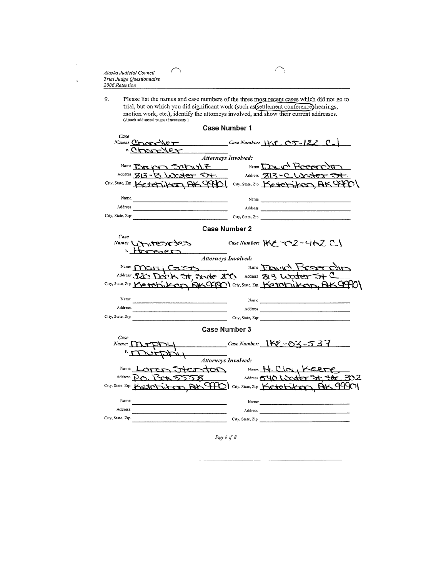| Alaska Judicial Council<br>Trial Judge Questionnaire<br>2006 Retention |  |
|------------------------------------------------------------------------|--|
|                                                                        |  |

Please list the names and case numbers of the three most recent cases which did not go to trial, but on which you did significant work (such as est thement conference) hearings, motion work, etc.), identify the attorneys i 9.

|                                                                                 | <b>Case Number 1</b>                                                                                                                                                       |
|---------------------------------------------------------------------------------|----------------------------------------------------------------------------------------------------------------------------------------------------------------------------|
| Case<br>Name: Cross-VET<br><u>errorder</u>                                      | $Case Number: 1KE-OS-122 C$<br>Attorneys Involved:                                                                                                                         |
|                                                                                 | Name Bruca Schult Name Down Roseron<br>Address 813-B Writer 5+ Address 813-C Writer 5+<br>City, State, Zip Ketchikan, RK99901 City, State. Zip Ketchikan, RK99901          |
| Name.<br>Address<br>City, State, Zip-                                           | Name                                                                                                                                                                       |
|                                                                                 | Case Number 2                                                                                                                                                              |
| Case<br>"Horsen                                                                 | Name: Unitestless Case Number: KE -02-462 C<br>Attorneys Involved:                                                                                                         |
|                                                                                 | Name MCITI COURTS Name DOUID ROOM<br>Address: 320 Darc K 5+, System 200 Address 813 Uniter 5+ C<br>City, State, Zip Ketchikon, RKCPPOl City, State, Zip. Ketchikon, RKCPPO |
| Name<br>the control of the control of the control of the control of<br>Address. | Name                                                                                                                                                                       |
| City, State, Zip                                                                | City, State, Zip                                                                                                                                                           |
|                                                                                 | Case Number 3                                                                                                                                                              |
| Case<br>$Name: \n\bigcap \text{array}$                                          | <b>Attorneys Involved:</b>                                                                                                                                                 |
|                                                                                 |                                                                                                                                                                            |
|                                                                                 | Name Loren Stor ton Name H. Cloy Keere                                                                                                                                     |
|                                                                                 | City, State, Zip. Ketchik-can, AK TFOI City. State, Zip Ketchikon, AK 99901                                                                                                |
| Name <sup>-</sup>                                                               | Name:                                                                                                                                                                      |
| Address                                                                         | Address                                                                                                                                                                    |
| City, State, Zip.                                                               |                                                                                                                                                                            |
|                                                                                 |                                                                                                                                                                            |

Page 6 of 8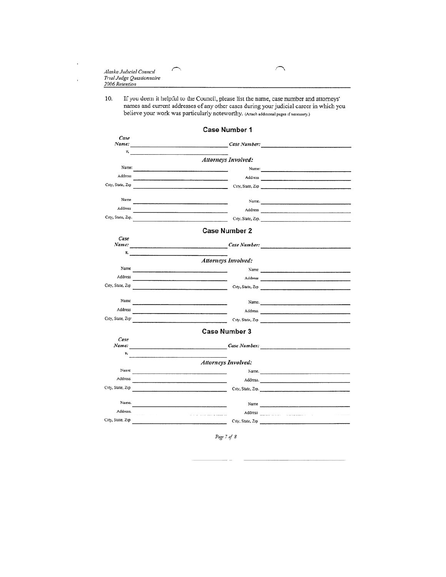| Alaska Judicial Council   |  |
|---------------------------|--|
| Trial Judge Questionnaire |  |
| 2006 Retention            |  |

 $\ddot{\phantom{a}}$ 

 $\ddot{\phantom{0}}$ 

If you deem it helpful to the Council, please list the name, case number and attorneys' names and current addresses of any other cases during your judicial career in which you believe your work was particularly noteworthy. 10.

ヽ

|                   | Case Number 1                                                                                                                                                                                                                 |                      |
|-------------------|-------------------------------------------------------------------------------------------------------------------------------------------------------------------------------------------------------------------------------|----------------------|
| Case<br>Name:     | Case Number:                                                                                                                                                                                                                  |                      |
| v.                | Attorneys Involved:                                                                                                                                                                                                           |                      |
| Name:             |                                                                                                                                                                                                                               |                      |
| Address           |                                                                                                                                                                                                                               |                      |
| City, State, Zip  |                                                                                                                                                                                                                               | City, State, Zip     |
|                   |                                                                                                                                                                                                                               |                      |
| Name              |                                                                                                                                                                                                                               |                      |
| Address           | Address                                                                                                                                                                                                                       |                      |
| City, State, Zip. |                                                                                                                                                                                                                               | City, State, Zip.    |
|                   | <b>Case Number 2</b>                                                                                                                                                                                                          |                      |
| Case              |                                                                                                                                                                                                                               |                      |
|                   | $\mathcal{V}_\bullet$ and $\mathcal{V}_\bullet$ are the set of $\mathcal{V}_\bullet$                                                                                                                                          |                      |
|                   | <b>Attorneys Involved:</b>                                                                                                                                                                                                    |                      |
| Name              | the contract of the contract of the contract of the contract of the contract of the                                                                                                                                           |                      |
| Address           | the company of the company of the company of the company of the company of the company of the company of the company of the company of the company of the company of the company of the company of the company of the company |                      |
| City, State, Zip  | the contract of the contract of the contract of the contract of                                                                                                                                                               | City, State, Zip     |
|                   |                                                                                                                                                                                                                               |                      |
| Name              |                                                                                                                                                                                                                               | Name.                |
| Address           | the control of the control of the control of the control of the control of                                                                                                                                                    |                      |
| City, State, Zip- |                                                                                                                                                                                                                               |                      |
|                   | <b>Case Number 3</b>                                                                                                                                                                                                          |                      |
| Case              |                                                                                                                                                                                                                               |                      |
| ν.                | Name: Case Number: Case Number:                                                                                                                                                                                               |                      |
|                   | <b>Attorneys Involved:</b>                                                                                                                                                                                                    |                      |
| Name              | the control of the control of the control of the control of the control of the control of                                                                                                                                     | Name.                |
| Address           | the contract of the contract of the contract of the contract of the contract of                                                                                                                                               |                      |
| City, State, Zip  | the control of the control of the control of the control of the control of                                                                                                                                                    | City, State, Zip.    |
|                   |                                                                                                                                                                                                                               |                      |
| Name.             |                                                                                                                                                                                                                               | Name $\qquad \qquad$ |
| Address.          | the contract of the contract of the contract of the contract of the contract of the contract of the contract of                                                                                                               |                      |
| City, State, Zip  |                                                                                                                                                                                                                               | City, State, Zip     |
|                   |                                                                                                                                                                                                                               |                      |

Page 7 of 8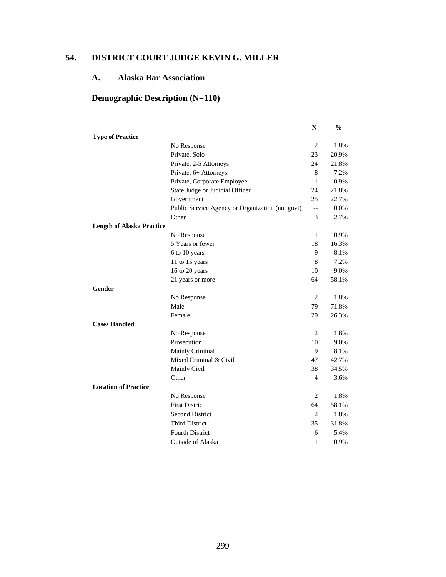# **54. DISTRICT COURT JUDGE KEVIN G. MILLER**

# **A. Alaska Bar Association**

# **Demographic Description (N=110)**

|                                  |                                                  | N                        | $\frac{0}{0}$ |
|----------------------------------|--------------------------------------------------|--------------------------|---------------|
| <b>Type of Practice</b>          |                                                  |                          |               |
|                                  | No Response                                      | $\mathbf{2}$             | 1.8%          |
|                                  | Private, Solo                                    | 23                       | 20.9%         |
|                                  | Private, 2-5 Attorneys                           | 24                       | 21.8%         |
|                                  | Private, 6+ Attorneys                            | 8                        | 7.2%          |
|                                  | Private, Corporate Employee                      | 1                        | 0.9%          |
|                                  | State Judge or Judicial Officer                  | 24                       | 21.8%         |
|                                  | Government                                       | 25                       | 22.7%         |
|                                  | Public Service Agency or Organization (not govt) | $\overline{\phantom{a}}$ | 0.0%          |
|                                  | Other                                            | 3                        | 2.7%          |
| <b>Length of Alaska Practice</b> |                                                  |                          |               |
|                                  | No Response                                      | 1                        | 0.9%          |
|                                  | 5 Years or fewer                                 | 18                       | 16.3%         |
|                                  | 6 to 10 years                                    | 9                        | 8.1%          |
|                                  | 11 to 15 years                                   | 8                        | 7.2%          |
|                                  | 16 to 20 years                                   | 10                       | 9.0%          |
|                                  | 21 years or more                                 | 64                       | 58.1%         |
| Gender                           |                                                  |                          |               |
|                                  | No Response                                      | $\mathbf{2}$             | 1.8%          |
|                                  | Male                                             | 79                       | 71.8%         |
|                                  | Female                                           | 29                       | 26.3%         |
| <b>Cases Handled</b>             |                                                  |                          |               |
|                                  | No Response                                      | 2                        | 1.8%          |
|                                  | Prosecution                                      | 10                       | 9.0%          |
|                                  | Mainly Criminal                                  | 9                        | 8.1%          |
|                                  | Mixed Criminal & Civil                           | 47                       | 42.7%         |
|                                  | Mainly Civil                                     | 38                       | 34.5%         |
|                                  | Other                                            | 4                        | 3.6%          |
| <b>Location of Practice</b>      |                                                  |                          |               |
|                                  | No Response                                      | $\overline{2}$           | 1.8%          |
|                                  | <b>First District</b>                            | 64                       | 58.1%         |
|                                  | <b>Second District</b>                           | 2                        | 1.8%          |
|                                  | <b>Third District</b>                            | 35                       | 31.8%         |
|                                  | <b>Fourth District</b>                           | 6                        | 5.4%          |
|                                  | <b>Outside of Alaska</b>                         | 1                        | 0.9%          |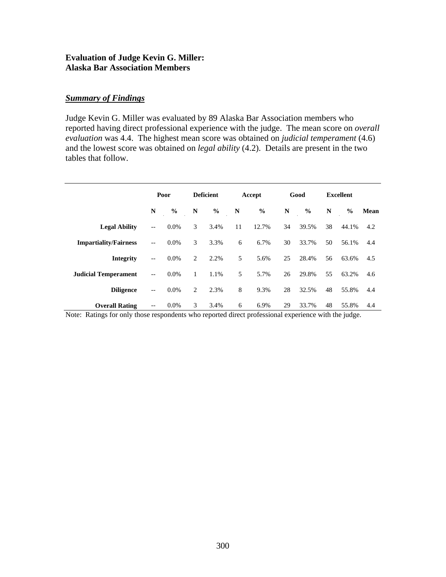#### **Evaluation of Judge Kevin G. Miller: Alaska Bar Association Members**

# *Summary of Findings*

Judge Kevin G. Miller was evaluated by 89 Alaska Bar Association members who reported having direct professional experience with the judge. The mean score on *overall evaluation* was 4.4. The highest mean score was obtained on *judicial temperament* (4.6) and the lowest score was obtained on *legal ability* (4.2). Details are present in the two tables that follow.

|                              | Poor                     |               | <b>Deficient</b> |               | Accept |               | Good |               | <b>Excellent</b> |               |      |
|------------------------------|--------------------------|---------------|------------------|---------------|--------|---------------|------|---------------|------------------|---------------|------|
|                              | N                        | $\frac{6}{6}$ | N                | $\frac{0}{0}$ | N      | $\frac{6}{6}$ | N    | $\frac{0}{0}$ | N                | $\frac{0}{0}$ | Mean |
| <b>Legal Ability</b>         | $\overline{\phantom{m}}$ | $0.0\%$       | 3                | 3.4%          | 11     | 12.7%         | 34   | 39.5%         | 38               | 44.1%         | 4.2  |
| <b>Impartiality/Fairness</b> | $-\,-$                   | $0.0\%$       | 3                | 3.3%          | 6      | 6.7%          | 30   | 33.7%         | 50               | 56.1%         | 4.4  |
| <b>Integrity</b>             | $\overline{\phantom{a}}$ | $0.0\%$       | 2                | 2.2%          | 5      | 5.6%          | 25   | 28.4%         | 56               | 63.6%         | 4.5  |
| <b>Judicial Temperament</b>  | $\overline{\phantom{a}}$ | $0.0\%$       | $\mathbf{1}$     | 1.1%          | 5      | 5.7%          | 26   | 29.8%         | 55               | 63.2%         | 4.6  |
| <b>Diligence</b>             | $\overline{\phantom{m}}$ | 0.0%          | 2                | 2.3%          | 8      | 9.3%          | 28   | 32.5%         | 48               | 55.8%         | 4.4  |
| <b>Overall Rating</b>        |                          | $0.0\%$       | 3                | 3.4%          | 6      | 6.9%          | 29   | 33.7%         | 48               | 55.8%         | 4.4  |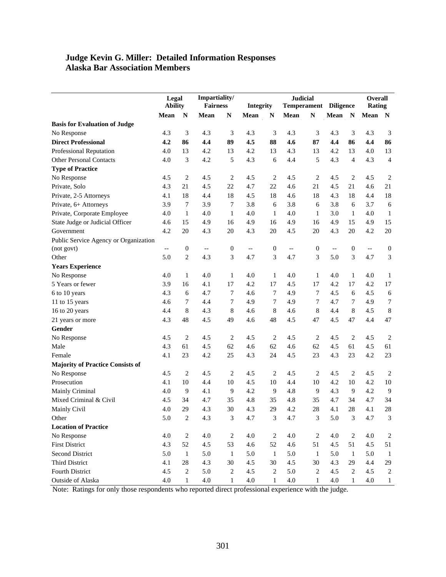#### **Judge Kevin G. Miller: Detailed Information Responses Alaska Bar Association Members**

|                                         | Legal<br><b>Ability</b> |                  | Impartiality/<br><b>Fairness</b> |                  |                          | <b>Judicial</b><br><b>Temperament</b><br><b>Integrity</b> |                          |                  |                          | <b>Diligence</b> | Overall<br><b>Rating</b> |                  |
|-----------------------------------------|-------------------------|------------------|----------------------------------|------------------|--------------------------|-----------------------------------------------------------|--------------------------|------------------|--------------------------|------------------|--------------------------|------------------|
|                                         | Mean                    | $\mathbf N$      | Mean                             | $\mathbb{N}$     | Mean                     | $\mathbf N$                                               | Mean                     | ${\bf N}$        | Mean                     | $\mathbf N$      | Mean                     | $\mathbf N$      |
| <b>Basis for Evaluation of Judge</b>    |                         |                  |                                  |                  |                          |                                                           |                          |                  |                          |                  |                          |                  |
| No Response                             | 4.3                     | 3                | 4.3                              | 3                | 4.3                      | $\mathfrak{Z}$                                            | 4.3                      | 3                | 4.3                      | $\mathfrak{Z}$   | 4.3                      | 3                |
| <b>Direct Professional</b>              | 4.2                     | 86               | 4.4                              | 89               | 4.5                      | 88                                                        | 4.6                      | 87               | 4,4                      | 86               | 4,4                      | 86               |
| <b>Professional Reputation</b>          | 4.0                     | 13               | 4.2                              | 13               | 4.2                      | 13                                                        | 4.3                      | 13               | 4.2                      | 13               | 4.0                      | 13               |
| <b>Other Personal Contacts</b>          | 4.0                     | 3                | 4.2                              | 5                | 4.3                      | 6                                                         | 4.4                      | 5                | 4.3                      | $\overline{4}$   | 4.3                      | $\overline{4}$   |
| <b>Type of Practice</b>                 |                         |                  |                                  |                  |                          |                                                           |                          |                  |                          |                  |                          |                  |
| No Response                             | 4.5                     | $\overline{2}$   | 4.5                              | $\overline{c}$   | 4.5                      | 2                                                         | 4.5                      | $\overline{c}$   | 4.5                      | $\overline{2}$   | 4.5                      | $\overline{2}$   |
| Private, Solo                           | 4.3                     | 21               | 4.5                              | 22               | 4.7                      | 22                                                        | 4.6                      | 21               | 4.5                      | 21               | 4.6                      | 21               |
| Private, 2-5 Attorneys                  | 4.1                     | 18               | 4.4                              | 18               | 4.5                      | 18                                                        | 4.6                      | 18               | 4.3                      | 18               | 4.4                      | 18               |
| Private, 6+ Attorneys                   | 3.9                     | 7                | 3.9                              | 7                | 3.8                      | 6                                                         | 3.8                      | 6                | 3.8                      | 6                | 3.7                      | $\sqrt{6}$       |
| Private, Corporate Employee             | 4.0                     | $\mathbf{1}$     | 4.0                              | $\mathbf{1}$     | 4.0                      | $\mathbf{1}$                                              | 4.0                      | $\mathbf{1}$     | 3.0                      | $\mathbf{1}$     | 4.0                      | $\mathbf{1}$     |
| State Judge or Judicial Officer         | 4.6                     | 15               | 4.9                              | 16               | 4.9                      | 16                                                        | 4.9                      | 16               | 4.9                      | 15               | 4.9                      | 15               |
| Government                              | 4.2                     | 20               | 4.3                              | 20               | 4.3                      | 20                                                        | 4.5                      | 20               | 4.3                      | 20               | 4.2                      | 20               |
| Public Service Agency or Organization   |                         |                  |                                  |                  |                          |                                                           |                          |                  |                          |                  |                          |                  |
| (not govt)                              | $-$                     | $\boldsymbol{0}$ | $-\, -$                          | $\boldsymbol{0}$ | $\overline{\phantom{a}}$ | $\boldsymbol{0}$                                          | $\overline{\phantom{a}}$ | $\boldsymbol{0}$ | $\overline{\phantom{a}}$ | $\boldsymbol{0}$ | $\overline{\phantom{m}}$ | $\boldsymbol{0}$ |
| Other                                   | 5.0                     | $\overline{c}$   | 4.3                              | 3                | 4.7                      | 3                                                         | 4.7                      | 3                | 5.0                      | 3                | 4.7                      | $\mathfrak{Z}$   |
| <b>Years Experience</b>                 |                         |                  |                                  |                  |                          |                                                           |                          |                  |                          |                  |                          |                  |
| No Response                             | 4.0                     | $\mathbf{1}$     | 4.0                              | $\mathbf{1}$     | 4.0                      | $\mathbf{1}$                                              | 4.0                      | $\mathbf{1}$     | 4.0                      | $\mathbf{1}$     | 4.0                      | $\mathbf{1}$     |
| 5 Years or fewer                        | 3.9                     | 16               | 4.1                              | 17               | 4.2                      | 17                                                        | 4.5                      | 17               | 4.2                      | 17               | 4.2                      | $17\,$           |
| 6 to 10 years                           | 4.3                     | 6                | 4.7                              | 7                | 4.6                      | $\tau$                                                    | 4.9                      | $\tau$           | 4.5                      | 6                | 4.5                      | $\sqrt{6}$       |
| 11 to 15 years                          | 4.6                     | 7                | 4.4                              | 7                | 4.9                      | 7                                                         | 4.9                      | 7                | 4.7                      | 7                | 4.9                      | $\tau$           |
| 16 to 20 years                          | 4.4                     | 8                | 4.3                              | 8                | 4.6                      | 8                                                         | 4.6                      | 8                | 4.4                      | 8                | 4.5                      | $\,8\,$          |
| 21 years or more                        | 4.3                     | 48               | 4.5                              | 49               | 4.6                      | 48                                                        | 4.5                      | 47               | 4.5                      | 47               | 4.4                      | 47               |
| Gender                                  |                         |                  |                                  |                  |                          |                                                           |                          |                  |                          |                  |                          |                  |
| No Response                             | 4.5                     | $\overline{c}$   | 4.5                              | $\sqrt{2}$       | 4.5                      | $\mathbf{2}$                                              | 4.5                      | $\overline{c}$   | 4.5                      | $\overline{2}$   | 4.5                      | $\overline{c}$   |
| Male                                    | 4.3                     | 61               | 4.5                              | 62               | 4.6                      | 62                                                        | 4.6                      | 62               | 4.5                      | 61               | 4.5                      | 61               |
| Female                                  | 4.1                     | 23               | 4.2                              | 25               | 4.3                      | 24                                                        | 4.5                      | 23               | 4.3                      | 23               | 4.2                      | 23               |
| <b>Majority of Practice Consists of</b> |                         |                  |                                  |                  |                          |                                                           |                          |                  |                          |                  |                          |                  |
| No Response                             | 4.5                     | $\overline{c}$   | 4.5                              | $\overline{c}$   | 4.5                      | $\sqrt{2}$                                                | 4.5                      | $\overline{c}$   | 4.5                      | $\overline{c}$   | 4.5                      | $\sqrt{2}$       |
| Prosecution                             | 4.1                     | 10               | 4.4                              | 10               | 4.5                      | 10                                                        | 4.4                      | 10               | 4.2                      | 10               | 4.2                      | 10               |
| Mainly Criminal                         | 4.0                     | 9                | 4.1                              | $\overline{9}$   | 4.2                      | 9                                                         | 4.8                      | $\overline{9}$   | 4.3                      | 9                | 4.2                      | 9                |
| Mixed Criminal & Civil                  | 4.5                     | 34               | 4.7                              | 35               | 4.8                      | 35                                                        | 4.8                      | 35               | 4.7                      | 34               | 4.7                      | 34               |
| Mainly Civil                            | 4.0                     | 29               | 4.3                              | 30               | 4.3                      | 29                                                        | 4.2                      | 28               | 4.1                      | 28               | 4.1                      | 28               |
| Other                                   | $5.0\,$                 | $\sqrt{2}$       | 4.3                              | $\mathfrak{Z}$   | 4.7                      | $\ensuremath{\mathfrak{Z}}$                               | 4.7                      | $\sqrt{3}$       | 5.0                      | $\mathfrak{Z}$   | 4.7                      | $\overline{3}$   |
| <b>Location of Practice</b>             |                         |                  |                                  |                  |                          |                                                           |                          |                  |                          |                  |                          |                  |
| No Response                             | 4.0                     | 2                | 4.0                              | $\sqrt{2}$       | 4.0                      | $\sqrt{2}$                                                | 4.0                      | $\overline{c}$   | 4.0                      | $\sqrt{2}$       | 4.0                      | $\boldsymbol{2}$ |
| <b>First District</b>                   | 4.3                     | 52               | 4.5                              | 53               | 4.6                      | 52                                                        | $4.6\,$                  | 51               | 4.5                      | 51               | 4.5                      | 51               |
| <b>Second District</b>                  | 5.0                     | $\mathbf{1}$     | $5.0\,$                          | $\mathbf{1}$     | 5.0                      | $\mathbf{1}$                                              | 5.0                      | $\mathbf{1}$     | 5.0                      | $\mathbf{1}$     | 5.0                      | $\mathbf{1}$     |
| <b>Third District</b>                   | 4.1                     | 28               | 4.3                              | 30               | 4.5                      | 30                                                        | 4.5                      | 30               | 4.3                      | 29               | 4.4                      | 29               |
| Fourth District                         | 4.5                     | $\sqrt{2}$       | 5.0                              | $\sqrt{2}$       | 4.5                      | $\sqrt{2}$                                                | 5.0                      | $\sqrt{2}$       | 4.5                      | $\sqrt{2}$       | 4.5                      | $\overline{2}$   |
| Outside of Alaska                       | $4.0\,$                 | $\mathbf{1}$     | $4.0\,$                          | 1                | $4.0\,$                  | 1                                                         | $4.0\,$                  | $\mathbf{1}$     | $4.0\,$                  | 1                | $4.0\,$                  | $\mathbf{1}$     |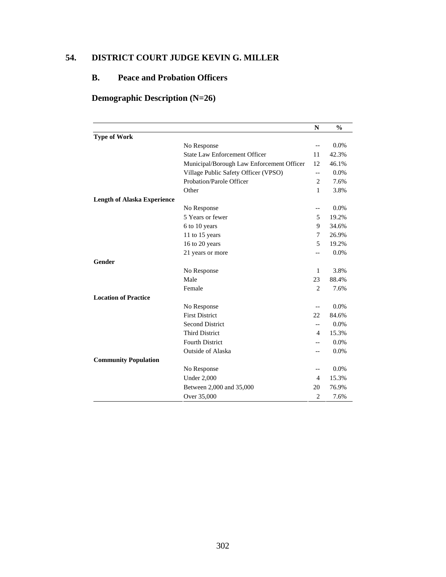# **54. DISTRICT COURT JUDGE KEVIN G. MILLER**

# **B. Peace and Probation Officers**

# **Demographic Description (N=26)**

|                                    |                                           | N                        | $\frac{0}{0}$ |
|------------------------------------|-------------------------------------------|--------------------------|---------------|
| <b>Type of Work</b>                |                                           |                          |               |
|                                    | No Response                               | $-$                      | 0.0%          |
|                                    | <b>State Law Enforcement Officer</b>      | 11                       | 42.3%         |
|                                    | Municipal/Borough Law Enforcement Officer | 12                       | 46.1%         |
|                                    | Village Public Safety Officer (VPSO)      | $\overline{\phantom{m}}$ | 0.0%          |
|                                    | Probation/Parole Officer                  | $\overline{c}$           | 7.6%          |
|                                    | Other                                     | 1                        | 3.8%          |
| <b>Length of Alaska Experience</b> |                                           |                          |               |
|                                    | No Response                               | $-$                      | 0.0%          |
|                                    | 5 Years or fewer                          | 5                        | 19.2%         |
|                                    | 6 to 10 years                             | 9                        | 34.6%         |
|                                    | 11 to 15 years                            | 7                        | 26.9%         |
|                                    | 16 to 20 years                            | 5                        | 19.2%         |
|                                    | 21 years or more                          | $-$                      | 0.0%          |
| <b>Gender</b>                      |                                           |                          |               |
|                                    | No Response                               | 1                        | 3.8%          |
|                                    | Male                                      | 23                       | 88.4%         |
|                                    | Female                                    | $\overline{2}$           | 7.6%          |
| <b>Location of Practice</b>        |                                           |                          |               |
|                                    | No Response                               | $-$                      | 0.0%          |
|                                    | <b>First District</b>                     | 22                       | 84.6%         |
|                                    | <b>Second District</b>                    | $-$                      | 0.0%          |
|                                    | <b>Third District</b>                     | 4                        | 15.3%         |
|                                    | <b>Fourth District</b>                    |                          | 0.0%          |
|                                    | <b>Outside of Alaska</b>                  |                          | 0.0%          |
| <b>Community Population</b>        |                                           |                          |               |
|                                    | No Response                               | $-$                      | 0.0%          |
|                                    | <b>Under 2,000</b>                        | 4                        | 15.3%         |
|                                    | Between 2,000 and 35,000                  | 20                       | 76.9%         |
|                                    | Over 35,000                               | 2                        | 7.6%          |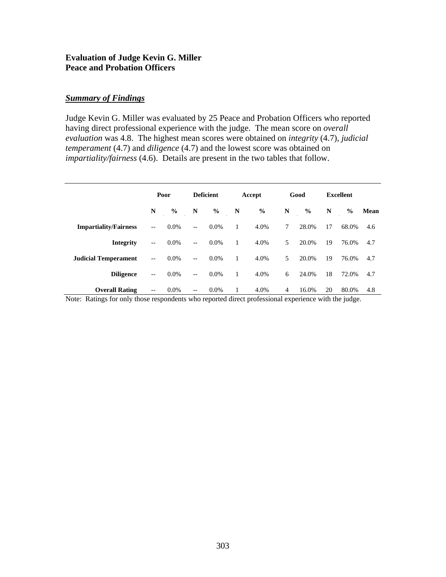#### **Evaluation of Judge Kevin G. Miller Peace and Probation Officers**

# *Summary of Findings*

Judge Kevin G. Miller was evaluated by 25 Peace and Probation Officers who reported having direct professional experience with the judge. The mean score on *overall evaluation* was 4.8. The highest mean scores were obtained on *integrity* (4.7), *judicial temperament* (4.7) and *diligence* (4.7) and the lowest score was obtained on *impartiality/fairness* (4.6). Details are present in the two tables that follow.

|                              |                          | Poor          |                                                     | <b>Deficient</b> | Accept       |               |                | Good          | Excellent |               |      |
|------------------------------|--------------------------|---------------|-----------------------------------------------------|------------------|--------------|---------------|----------------|---------------|-----------|---------------|------|
|                              | N                        | $\frac{0}{0}$ | N                                                   | $\frac{0}{0}$    | N            | $\frac{6}{6}$ | N              | $\frac{0}{0}$ | N         | $\frac{0}{0}$ | Mean |
| <b>Impartiality/Fairness</b> | $\overline{\phantom{a}}$ | $0.0\%$       | $\overline{\phantom{m}}$                            | $0.0\%$          | $\mathbf{1}$ | 4.0%          | 7              | 28.0%         | 17        | 68.0%         | 4.6  |
| <b>Integrity</b>             | $\overline{\phantom{a}}$ | $0.0\%$       | $\overline{\phantom{a}}$                            | $0.0\%$          | $\mathbf{1}$ | 4.0%          | 5              | 20.0%         | 19        | 76.0%         | 4.7  |
| <b>Judicial Temperament</b>  | $\overline{\phantom{a}}$ | $0.0\%$       | $\hspace{0.05cm} -\hspace{0.05cm} -\hspace{0.05cm}$ | $0.0\%$          | $\mathbf{1}$ | 4.0%          | 5              | 20.0%         | 19        | 76.0%         | 4.7  |
| <b>Diligence</b>             | $-\,-$                   | $0.0\%$       | $\overline{\phantom{m}}$                            | $0.0\%$          | $\mathbf{1}$ | 4.0%          | 6              | 24.0%         | 18        | 72.0%         | 4.7  |
| <b>Overall Rating</b>        | $\overline{\phantom{m}}$ | $0.0\%$       | $- -$                                               | $0.0\%$          | 1            | 4.0%          | $\overline{4}$ | 16.0%         | 20        | 80.0%         | 4.8  |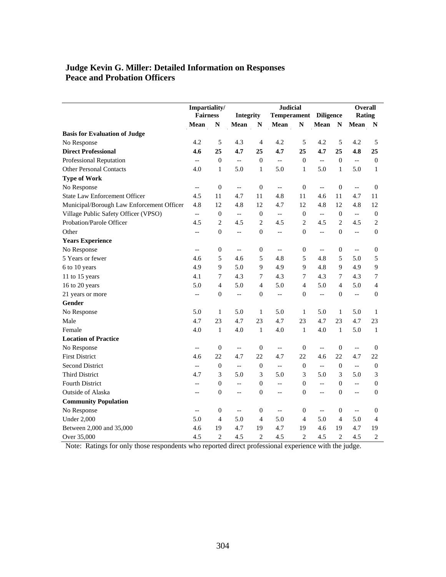# **Judge Kevin G. Miller: Detailed Information on Responses Peace and Probation Officers**

|                                           | Impartiality/            |                  |                          |                  |                          | <b>Judicial</b>  |                          |                  |                          | <b>Overall</b>   |
|-------------------------------------------|--------------------------|------------------|--------------------------|------------------|--------------------------|------------------|--------------------------|------------------|--------------------------|------------------|
|                                           | <b>Fairness</b>          |                  | Integrity                |                  | <b>Temperament</b>       |                  | <b>Diligence</b>         |                  | Rating                   |                  |
|                                           | Mean                     | $\mathbb{N}$     | Mean                     | $\mathbf N$      | Mean                     | N                | Mean                     | $\mathbb{N}$     | Mean                     | N                |
| <b>Basis for Evaluation of Judge</b>      |                          |                  |                          |                  |                          |                  |                          |                  |                          |                  |
| No Response                               | 4.2                      | 5                | 4.3                      | $\overline{4}$   | 4.2                      | 5                | 4.2                      | 5                | 4.2                      | 5                |
| <b>Direct Professional</b>                | 4.6                      | 25               | 4.7                      | 25               | 4.7                      | 25               | 4.7                      | 25               | 4.8                      | 25               |
| Professional Reputation                   | $\overline{a}$           | $\mathbf{0}$     | $\overline{a}$           | $\mathbf{0}$     | $-$                      | $\boldsymbol{0}$ | $-$                      | $\mathbf{0}$     | $\overline{a}$           | $\mathbf{0}$     |
| <b>Other Personal Contacts</b>            | 4.0                      | $\mathbf{1}$     | 5.0                      | $\mathbf{1}$     | 5.0                      | $\mathbf{1}$     | 5.0                      | $\mathbf{1}$     | 5.0                      | $\mathbf{1}$     |
| <b>Type of Work</b>                       |                          |                  |                          |                  |                          |                  |                          |                  |                          |                  |
| No Response                               | $\overline{\phantom{a}}$ | $\boldsymbol{0}$ | $\overline{\phantom{a}}$ | $\boldsymbol{0}$ | $\overline{\phantom{a}}$ | $\boldsymbol{0}$ | $\overline{a}$           | $\boldsymbol{0}$ | $\overline{a}$           | $\boldsymbol{0}$ |
| <b>State Law Enforcement Officer</b>      | 4.5                      | 11               | 4.7                      | 11               | 4.8                      | 11               | 4.6                      | 11               | 4.7                      | 11               |
| Municipal/Borough Law Enforcement Officer | 4.8                      | 12               | 4.8                      | 12               | 4.7                      | 12               | 4.8                      | 12               | 4.8                      | 12               |
| Village Public Safety Officer (VPSO)      | $\overline{a}$           | $\boldsymbol{0}$ | L.                       | $\boldsymbol{0}$ | $\overline{a}$           | $\boldsymbol{0}$ | $\overline{\phantom{a}}$ | $\boldsymbol{0}$ | $\overline{\phantom{a}}$ | $\boldsymbol{0}$ |
| Probation/Parole Officer                  | 4.5                      | $\overline{c}$   | 4.5                      | $\overline{c}$   | 4.5                      | $\overline{c}$   | 4.5                      | $\overline{2}$   | 4.5                      | $\overline{c}$   |
| Other                                     | $-$                      | $\overline{0}$   | $\overline{a}$           | $\boldsymbol{0}$ | $\overline{\phantom{a}}$ | $\overline{0}$   | 44                       | $\mathbf{0}$     | --                       | $\Omega$         |
| <b>Years Experience</b>                   |                          |                  |                          |                  |                          |                  |                          |                  |                          |                  |
| No Response                               | $-$                      | $\boldsymbol{0}$ | $\overline{\phantom{a}}$ | $\boldsymbol{0}$ | $\overline{\phantom{a}}$ | $\boldsymbol{0}$ | $\overline{\phantom{a}}$ | $\boldsymbol{0}$ | $\overline{\phantom{a}}$ | $\boldsymbol{0}$ |
| 5 Years or fewer                          | 4.6                      | 5                | 4.6                      | 5                | 4.8                      | 5                | 4.8                      | 5                | 5.0                      | 5                |
| 6 to 10 years                             | 4.9                      | 9                | 5.0                      | 9                | 4.9                      | 9                | 4.8                      | 9                | 4.9                      | 9                |
| 11 to 15 years                            | 4.1                      | 7                | 4.3                      | $\tau$           | 4.3                      | 7                | 4.3                      | 7                | 4.3                      | 7                |
| 16 to 20 years                            | 5.0                      | $\overline{4}$   | 5.0                      | $\overline{4}$   | 5.0                      | $\overline{4}$   | 5.0                      | $\overline{4}$   | 5.0                      | $\overline{4}$   |
| 21 years or more                          | $-$                      | $\overline{0}$   | $\overline{a}$           | $\boldsymbol{0}$ | $\overline{\phantom{a}}$ | $\boldsymbol{0}$ | $\overline{\phantom{m}}$ | $\mathbf{0}$     | $\overline{\phantom{a}}$ | $\mathbf{0}$     |
| Gender                                    |                          |                  |                          |                  |                          |                  |                          |                  |                          |                  |
| No Response                               | 5.0                      | $\mathbf{1}$     | 5.0                      | $\mathbf{1}$     | 5.0                      | $\mathbf{1}$     | 5.0                      | $\mathbf{1}$     | 5.0                      | 1                |
| Male                                      | 4.7                      | 23               | 4.7                      | 23               | 4.7                      | 23               | 4.7                      | 23               | 4.7                      | 23               |
| Female                                    | 4.0                      | $\mathbf{1}$     | 4.0                      | $\mathbf{1}$     | 4.0                      | $\mathbf{1}$     | 4.0                      | $\mathbf{1}$     | 5.0                      | $\mathbf{1}$     |
| <b>Location of Practice</b>               |                          |                  |                          |                  |                          |                  |                          |                  |                          |                  |
| No Response                               | --                       | $\boldsymbol{0}$ | $\overline{\phantom{a}}$ | $\boldsymbol{0}$ | $\overline{\phantom{a}}$ | $\boldsymbol{0}$ | $\overline{\phantom{a}}$ | $\boldsymbol{0}$ | $\overline{\phantom{a}}$ | $\boldsymbol{0}$ |
| <b>First District</b>                     | 4.6                      | 22               | 4.7                      | 22               | 4.7                      | 22               | 4.6                      | 22               | 4.7                      | 22               |
| <b>Second District</b>                    | $\overline{a}$           | $\boldsymbol{0}$ | $\overline{a}$           | $\boldsymbol{0}$ | $\overline{\phantom{a}}$ | $\boldsymbol{0}$ | $\overline{\phantom{a}}$ | $\theta$         | --                       | $\mathbf{0}$     |
| <b>Third District</b>                     | 4.7                      | 3                | 5.0                      | 3                | 5.0                      | 3                | 5.0                      | 3                | 5.0                      | 3                |
| Fourth District                           | --                       | $\boldsymbol{0}$ | $\overline{a}$           | $\boldsymbol{0}$ | $\overline{a}$           | $\boldsymbol{0}$ | $\overline{a}$           | $\boldsymbol{0}$ | --                       | $\boldsymbol{0}$ |
| Outside of Alaska                         | --                       | $\boldsymbol{0}$ | <u></u>                  | $\boldsymbol{0}$ | $\overline{\phantom{a}}$ | $\boldsymbol{0}$ | $\overline{a}$           | $\boldsymbol{0}$ | $\overline{a}$           | $\mathbf{0}$     |
| <b>Community Population</b>               |                          |                  |                          |                  |                          |                  |                          |                  |                          |                  |
| No Response                               | --                       | $\boldsymbol{0}$ | $-$                      | $\boldsymbol{0}$ | $-\, -$                  | $\boldsymbol{0}$ | $\overline{\phantom{a}}$ | $\boldsymbol{0}$ | $\overline{\phantom{a}}$ | $\boldsymbol{0}$ |
| <b>Under 2,000</b>                        | 5.0                      | $\overline{4}$   | 5.0                      | $\overline{4}$   | 5.0                      | $\overline{4}$   | 5.0                      | $\overline{4}$   | 5.0                      | 4                |
| Between 2,000 and 35,000                  | 4.6                      | 19               | 4.7                      | 19               | 4.7                      | 19               | 4.6                      | 19               | 4.7                      | 19               |
| Over 35,000                               | 4.5                      | $\overline{2}$   | 4.5                      | $\overline{2}$   | 4.5                      | $\overline{2}$   | 4.5                      | $\overline{2}$   | 4.5                      | $\overline{2}$   |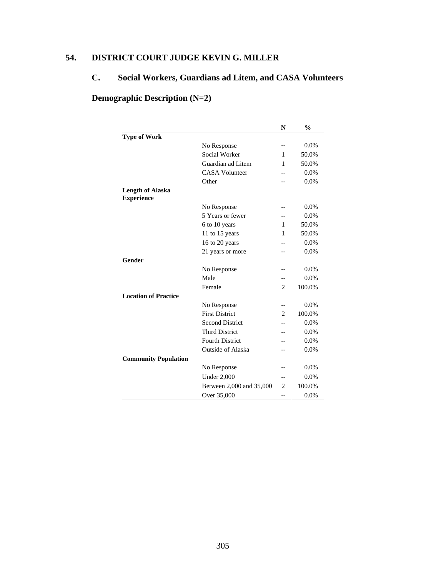# **54. DISTRICT COURT JUDGE KEVIN G. MILLER**

# **C. Social Workers, Guardians ad Litem, and CASA Volunteers**

# **Demographic Description (N=2)**

|                                              |                          | N              | $\frac{0}{0}$ |
|----------------------------------------------|--------------------------|----------------|---------------|
| <b>Type of Work</b>                          |                          |                |               |
|                                              | No Response              | $-$            | 0.0%          |
|                                              | Social Worker            | 1              | 50.0%         |
|                                              | Guardian ad Litem        | 1              | 50.0%         |
|                                              | <b>CASA Volunteer</b>    |                | 0.0%          |
|                                              | Other                    |                | 0.0%          |
| <b>Length of Alaska</b><br><b>Experience</b> |                          |                |               |
|                                              | No Response              | --             | $0.0\%$       |
|                                              | 5 Years or fewer         |                | 0.0%          |
|                                              | 6 to 10 years            | 1              | 50.0%         |
|                                              | 11 to 15 years           | 1              | 50.0%         |
|                                              | 16 to 20 years           |                | 0.0%          |
|                                              | 21 years or more         |                | 0.0%          |
| Gender                                       |                          |                |               |
|                                              | No Response              |                | 0.0%          |
|                                              | Male                     | --             | 0.0%          |
|                                              | Female                   | $\overline{c}$ | 100.0%        |
| <b>Location of Practice</b>                  |                          |                |               |
|                                              | No Response              | $-$            | 0.0%          |
|                                              | <b>First District</b>    | $\overline{c}$ | 100.0%        |
|                                              | <b>Second District</b>   |                | 0.0%          |
|                                              | <b>Third District</b>    |                | 0.0%          |
|                                              | <b>Fourth District</b>   |                | 0.0%          |
|                                              | <b>Outside of Alaska</b> |                | 0.0%          |
| <b>Community Population</b>                  |                          |                |               |
|                                              | No Response              |                | 0.0%          |
|                                              | <b>Under 2,000</b>       | --             | 0.0%          |
|                                              | Between 2,000 and 35,000 | 2              | 100.0%        |
|                                              | Over 35,000              | --             | 0.0%          |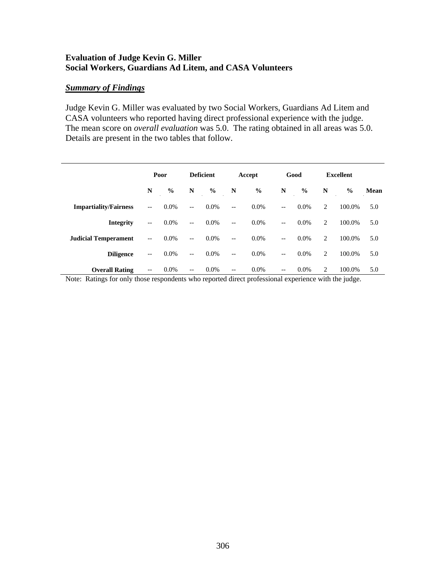# **Evaluation of Judge Kevin G. Miller Social Workers, Guardians Ad Litem, and CASA Volunteers**

## *Summary of Findings*

Judge Kevin G. Miller was evaluated by two Social Workers, Guardians Ad Litem and CASA volunteers who reported having direct professional experience with the judge. The mean score on *overall evaluation* was 5.0. The rating obtained in all areas was 5.0. Details are present in the two tables that follow.

|                              |                          | Poor          | <b>Deficient</b>                                    |               |                                                     | Accept        |                          | Good          | <b>Excellent</b> |        |      |
|------------------------------|--------------------------|---------------|-----------------------------------------------------|---------------|-----------------------------------------------------|---------------|--------------------------|---------------|------------------|--------|------|
|                              | N                        | $\frac{0}{0}$ | N                                                   | $\frac{0}{0}$ | N                                                   | $\frac{6}{6}$ | N                        | $\frac{6}{9}$ | N                | $\%$   | Mean |
| <b>Impartiality/Fairness</b> | $\qquad \qquad -$        | 0.0%          | $\overline{\phantom{a}}$                            | $0.0\%$       | $\overline{\phantom{a}}$                            | $0.0\%$       | $-$                      | $0.0\%$       | 2                | 100.0% | 5.0  |
| <b>Integrity</b>             | $\qquad \qquad -$        | $0.0\%$       | $\overline{\phantom{a}}$                            | $0.0\%$       | $\overline{\phantom{a}}$                            | $0.0\%$       | $\overline{\phantom{a}}$ | $0.0\%$       | 2                | 100.0% | 5.0  |
| <b>Judicial Temperament</b>  | $\overline{\phantom{m}}$ | $0.0\%$       | $\overline{\phantom{a}}$                            | $0.0\%$       | $-$                                                 | $0.0\%$       | $-$                      | $0.0\%$       | 2                | 100.0% | 5.0  |
| <b>Diligence</b>             | $\overline{\phantom{m}}$ | $0.0\%$       | $--$                                                | $0.0\%$       | $\hspace{0.05cm} -\hspace{0.05cm} -\hspace{0.05cm}$ | $0.0\%$       | $\overline{\phantom{a}}$ | $0.0\%$       | 2                | 100.0% | 5.0  |
| <b>Overall Rating</b>        | --                       | $0.0\%$       | $\hspace{0.05cm} -\hspace{0.05cm} -\hspace{0.05cm}$ | $0.0\%$       | $\hspace{0.05cm} -\hspace{0.05cm} -\hspace{0.05cm}$ | $0.0\%$       | $-$                      | $0.0\%$       | 2                | 100.0% | 5.0  |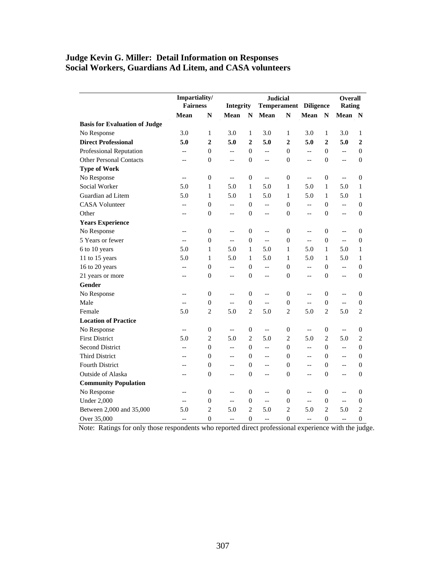# **Judge Kevin G. Miller: Detail Information on Responses Social Workers, Guardians Ad Litem, and CASA volunteers**

|                                      | Impartiality/            |                  |                          |                  | <b>Judicial</b>              |                  |                          |                  | Overall                  |                  |
|--------------------------------------|--------------------------|------------------|--------------------------|------------------|------------------------------|------------------|--------------------------|------------------|--------------------------|------------------|
|                                      | <b>Fairness</b>          |                  | Integrity                |                  | <b>Temperament Diligence</b> |                  |                          |                  | Rating                   |                  |
|                                      | Mean                     | ${\bf N}$        | Mean                     | ${\bf N}$        | Mean                         | $\mathbf N$      | Mean                     | $\mathbf N$      | Mean                     | N                |
| <b>Basis for Evaluation of Judge</b> |                          |                  |                          |                  |                              |                  |                          |                  |                          |                  |
| No Response                          | 3.0                      | $\mathbf{1}$     | 3.0                      | $\mathbf{1}$     | 3.0                          | $\mathbf{1}$     | 3.0                      | $\mathbf{1}$     | 3.0                      | $\mathbf{1}$     |
| <b>Direct Professional</b>           | 5.0                      | $\overline{2}$   | 5.0                      | $\overline{2}$   | 5.0                          | $\overline{2}$   | 5.0                      | $\overline{2}$   | 5.0                      | $\mathbf{2}$     |
| <b>Professional Reputation</b>       | $\overline{\phantom{a}}$ | $\overline{0}$   | $\overline{\phantom{a}}$ | $\mathbf{0}$     | Ξ.                           | $\mathbf{0}$     | $\overline{a}$           | $\overline{0}$   | ÷-                       | $\overline{0}$   |
| <b>Other Personal Contacts</b>       | $-$                      | $\boldsymbol{0}$ | $\overline{\phantom{a}}$ | $\boldsymbol{0}$ | $\overline{a}$               | $\boldsymbol{0}$ | --                       | $\boldsymbol{0}$ | $\overline{a}$           | $\overline{0}$   |
| <b>Type of Work</b>                  |                          |                  |                          |                  |                              |                  |                          |                  |                          |                  |
| No Response                          | $-$                      | $\mathbf{0}$     | $\overline{\phantom{a}}$ | $\mathbf{0}$     | $\overline{a}$               | $\boldsymbol{0}$ | $\overline{a}$           | $\boldsymbol{0}$ | $\overline{a}$           | 0                |
| Social Worker                        | 5.0                      | $\mathbf{1}$     | 5.0                      | $\mathbf{1}$     | 5.0                          | $\mathbf{1}$     | 5.0                      | $\,1$            | 5.0                      | $\mathbf{1}$     |
| Guardian ad Litem                    | 5.0                      | 1                | 5.0                      | 1                | 5.0                          | $\mathbf{1}$     | 5.0                      | $\mathbf{1}$     | 5.0                      | 1                |
| <b>CASA Volunteer</b>                | $-$                      | $\mathbf{0}$     | $-$                      | $\mathbf{0}$     | Ξ.                           | $\boldsymbol{0}$ | Ξ.                       | $\boldsymbol{0}$ | $\overline{a}$           | $\overline{0}$   |
| Other                                | $-$                      | $\boldsymbol{0}$ | $\overline{\phantom{a}}$ | $\boldsymbol{0}$ | $\overline{a}$               | $\boldsymbol{0}$ | --                       | $\boldsymbol{0}$ | $\overline{a}$           | 0                |
| <b>Years Experience</b>              |                          |                  |                          |                  |                              |                  |                          |                  |                          |                  |
| No Response                          | $-$                      | $\boldsymbol{0}$ | $-$                      | $\mathbf{0}$     | $\overline{\phantom{a}}$     | $\boldsymbol{0}$ | --                       | $\overline{0}$   | $\overline{a}$           | 0                |
| 5 Years or fewer                     | $\overline{a}$           | $\boldsymbol{0}$ | Ξ.                       | $\boldsymbol{0}$ | $\overline{a}$               | $\boldsymbol{0}$ | Ξ.                       | $\boldsymbol{0}$ | ΞĒ,                      | $\Omega$         |
| 6 to 10 years                        | 5.0                      | 1                | 5.0                      | $\mathbf{1}$     | 5.0                          | $\mathbf{1}$     | 5.0                      | $\mathbf{1}$     | 5.0                      | 1                |
| 11 to 15 years                       | 5.0                      | $\mathbf{1}$     | 5.0                      | $\mathbf{1}$     | 5.0                          | $\mathbf{1}$     | 5.0                      | $\mathbf{1}$     | 5.0                      | $\mathbf{1}$     |
| 16 to 20 years                       | $-$                      | $\overline{0}$   | $-$                      | $\mathbf{0}$     | Ξ.                           | $\mathbf{0}$     | --                       | $\overline{0}$   | u.                       | $\Omega$         |
| 21 years or more                     | $-$                      | $\mathbf{0}$     | $-$                      | $\mathbf{0}$     | $-$                          | $\boldsymbol{0}$ | --                       | $\boldsymbol{0}$ | $\overline{\phantom{a}}$ | $\boldsymbol{0}$ |
| Gender                               |                          |                  |                          |                  |                              |                  |                          |                  |                          |                  |
| No Response                          | $-$                      | $\mathbf{0}$     | $-$                      | $\mathbf{0}$     | --                           | $\mathbf{0}$     | --                       | $\overline{0}$   | $\overline{a}$           | 0                |
| Male                                 | $-$                      | $\mathbf{0}$     | $-$                      | $\overline{0}$   | $\overline{a}$               | $\boldsymbol{0}$ | $\overline{\phantom{a}}$ | $\boldsymbol{0}$ | u.                       | 0                |
| Female                               | 5.0                      | $\overline{c}$   | 5.0                      | $\mathbf{2}$     | 5.0                          | $\overline{c}$   | 5.0                      | $\overline{c}$   | 5.0                      | $\overline{c}$   |
| <b>Location of Practice</b>          |                          |                  |                          |                  |                              |                  |                          |                  |                          |                  |
| No Response                          | $\overline{\phantom{a}}$ | $\mathbf{0}$     | $\overline{\phantom{a}}$ | $\mathbf{0}$     | $\overline{a}$               | $\boldsymbol{0}$ | $-$                      | $\boldsymbol{0}$ | $\overline{a}$           | 0                |
| <b>First District</b>                | 5.0                      | $\overline{c}$   | 5.0                      | $\mathbf{2}$     | 5.0                          | $\mathbf{2}$     | 5.0                      | $\mathbf{2}$     | 5.0                      | $\overline{c}$   |
| <b>Second District</b>               | --                       | $\overline{0}$   | $-$                      | $\mathbf{0}$     | ÷.                           | $\overline{0}$   | --                       | $\overline{0}$   | LL.                      | $\Omega$         |
| <b>Third District</b>                | $-$                      | $\overline{0}$   | $-$                      | $\mathbf{0}$     | $\overline{\phantom{a}}$     | $\mathbf{0}$     | --                       | $\mathbf{0}$     | $\overline{\phantom{a}}$ | 0                |
| <b>Fourth District</b>               | $-$                      | $\overline{0}$   | $-$                      | $\mathbf{0}$     | $-$                          | $\overline{0}$   | $-$                      | $\overline{0}$   | $\overline{a}$           | $\theta$         |
| <b>Outside of Alaska</b>             | $-$                      | $\mathbf{0}$     | $-$                      | $\mathbf{0}$     | $\overline{a}$               | $\overline{0}$   | --                       | $\boldsymbol{0}$ | <u></u>                  | $\boldsymbol{0}$ |
| <b>Community Population</b>          |                          |                  |                          |                  |                              |                  |                          |                  |                          |                  |
| No Response                          | $-$                      | $\overline{0}$   | $-$                      | $\mathbf{0}$     | --                           | $\mathbf{0}$     | $-$                      | $\overline{0}$   | $\overline{a}$           | 0                |
| <b>Under 2,000</b>                   | $-$                      | $\mathbf{0}$     | $\overline{\phantom{a}}$ | $\mathbf{0}$     | $\overline{a}$               | $\boldsymbol{0}$ | $\overline{\phantom{a}}$ | $\overline{0}$   | $\overline{a}$           | $\boldsymbol{0}$ |
| Between 2,000 and 35,000             | 5.0                      | $\overline{2}$   | 5.0                      | $\mathbf{2}$     | 5.0                          | $\overline{c}$   | 5.0                      | $\mathbf{2}$     | 5.0                      | $\overline{c}$   |
| Over 35,000                          | $-$                      | $\overline{0}$   | $-$                      | $\overline{0}$   | $-$                          | $\mathbf{0}$     | $-$                      | $\overline{0}$   | $-$                      | $\theta$         |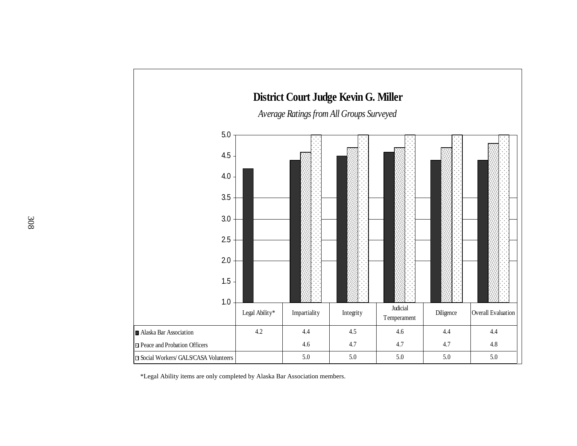

\*Legal Ability items are only completed by Alaska Bar Association members.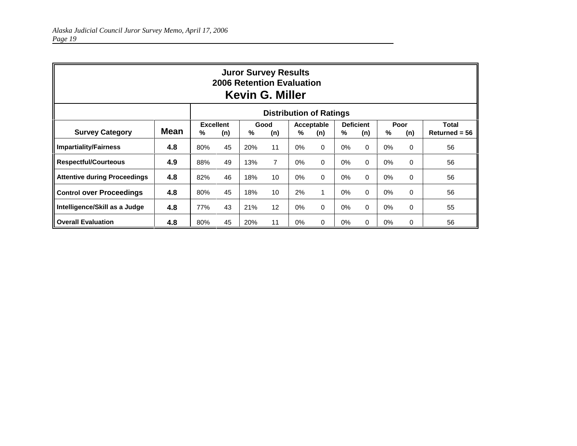|                                     | <b>Juror Survey Results</b><br>2006 Retention Evaluation<br><b>Kevin G. Miller</b> |     |                                                                                                                    |     |    |       |          |       |          |       |          |                                 |  |
|-------------------------------------|------------------------------------------------------------------------------------|-----|--------------------------------------------------------------------------------------------------------------------|-----|----|-------|----------|-------|----------|-------|----------|---------------------------------|--|
| <b>Distribution of Ratings</b>      |                                                                                    |     |                                                                                                                    |     |    |       |          |       |          |       |          |                                 |  |
| <b>Survey Category</b>              | Mean                                                                               | %   | <b>Excellent</b><br><b>Deficient</b><br>Poor<br>Good<br>Acceptable<br>%<br>%<br>%<br>(n)<br>%<br>(n)<br>(n)<br>(n) |     |    |       |          |       |          |       | (n)      | <b>Total</b><br>$Returned = 56$ |  |
| <b>Impartiality/Fairness</b>        | 4.8                                                                                | 80% | 45                                                                                                                 | 20% | 11 | $0\%$ | $\Omega$ | 0%    | $\Omega$ | 0%    | $\Omega$ | 56                              |  |
| <b>Respectful/Courteous</b>         | 4.9                                                                                | 88% | 49                                                                                                                 | 13% | 7  | $0\%$ | $\Omega$ | $0\%$ | $\Omega$ | 0%    | $\Omega$ | 56                              |  |
| <b>Attentive during Proceedings</b> | 4.8                                                                                | 82% | 46                                                                                                                 | 18% | 10 | $0\%$ | $\Omega$ | $0\%$ | $\Omega$ | 0%    | $\Omega$ | 56                              |  |
| <b>Control over Proceedings</b>     | 4.8                                                                                | 80% | 45                                                                                                                 | 18% | 10 | 2%    |          | $0\%$ | $\Omega$ | 0%    | $\Omega$ | 56                              |  |
| Intelligence/Skill as a Judge       | 4.8                                                                                | 77% | 43                                                                                                                 | 21% | 12 | 0%    | $\Omega$ | $0\%$ | $\Omega$ | 0%    | 0        | 55                              |  |
| <b>Overall Evaluation</b>           | 4.8                                                                                | 80% | 45                                                                                                                 | 20% | 11 | $0\%$ | $\Omega$ | $0\%$ | $\Omega$ | $0\%$ | 0        | 56                              |  |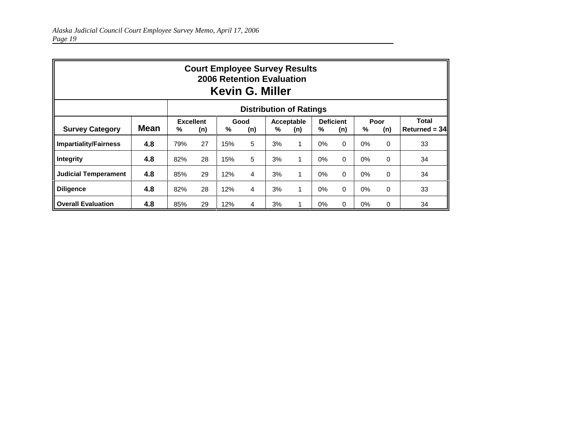|                                | <b>Court Employee Survey Results</b><br><b>2006 Retention Evaluation</b><br><b>Kevin G. Miller</b> |                       |     |     |                |    |                   |       |                         |       |             |                                 |  |
|--------------------------------|----------------------------------------------------------------------------------------------------|-----------------------|-----|-----|----------------|----|-------------------|-------|-------------------------|-------|-------------|---------------------------------|--|
| <b>Distribution of Ratings</b> |                                                                                                    |                       |     |     |                |    |                   |       |                         |       |             |                                 |  |
| <b>Survey Category</b>         | <b>Mean</b>                                                                                        | <b>Excellent</b><br>% | (n) | %   | Good<br>(n)    | %  | Acceptable<br>(n) | %     | <b>Deficient</b><br>(n) | %     | Poor<br>(n) | <b>Total</b><br>$Returned = 34$ |  |
| <b>Impartiality/Fairness</b>   | 4.8                                                                                                | 79%                   | 27  | 15% | 5              | 3% | 1                 | 0%    | 0                       | 0%    | $\Omega$    | 33                              |  |
| Integrity                      | 4.8                                                                                                | 82%                   | 28  | 15% | 5              | 3% | 1                 | 0%    | 0                       | 0%    | $\Omega$    | 34                              |  |
| Judicial Temperament           | 4.8                                                                                                | 85%                   | 29  | 12% | 4              | 3% | 1                 | 0%    | $\Omega$                | 0%    | $\Omega$    | 34                              |  |
| <b>Diligence</b>               | 4.8                                                                                                | 82%                   | 28  | 12% | 4              | 3% | 1                 | 0%    | 0                       | 0%    | $\Omega$    | 33                              |  |
| <b>Overall Evaluation</b>      | 4.8                                                                                                | 85%                   | 29  | 12% | $\overline{4}$ | 3% | 1                 | $0\%$ | 0                       | $0\%$ | 0           | 34                              |  |